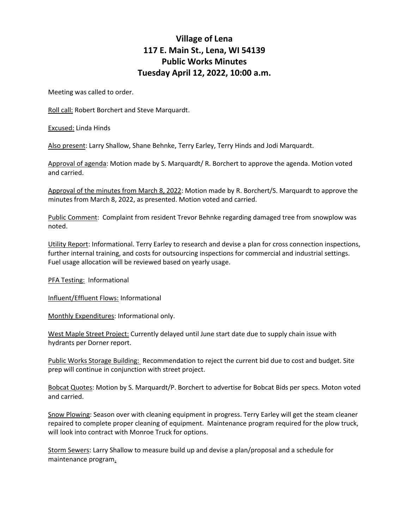## **Village of Lena 117 E. Main St., Lena, WI 54139 Public Works Minutes Tuesday April 12, 2022, 10:00 a.m.**

Meeting was called to order.

Roll call: Robert Borchert and Steve Marquardt.

Excused: Linda Hinds

Also present: Larry Shallow, Shane Behnke, Terry Earley, Terry Hinds and Jodi Marquardt.

Approval of agenda: Motion made by S. Marquardt/ R. Borchert to approve the agenda. Motion voted and carried.

Approval of the minutes from March 8, 2022: Motion made by R. Borchert/S. Marquardt to approve the minutes from March 8, 2022, as presented. Motion voted and carried.

Public Comment: Complaint from resident Trevor Behnke regarding damaged tree from snowplow was noted.

Utility Report: Informational. Terry Earley to research and devise a plan for cross connection inspections, further internal training, and costs for outsourcing inspections for commercial and industrial settings. Fuel usage allocation will be reviewed based on yearly usage.

PFA Testing: Informational

Influent/Effluent Flows: Informational

Monthly Expenditures: Informational only.

West Maple Street Project: Currently delayed until June start date due to supply chain issue with hydrants per Dorner report.

Public Works Storage Building: Recommendation to reject the current bid due to cost and budget. Site prep will continue in conjunction with street project.

Bobcat Quotes: Motion by S. Marquardt/P. Borchert to advertise for Bobcat Bids per specs. Moton voted and carried.

Snow Plowing: Season over with cleaning equipment in progress. Terry Earley will get the steam cleaner repaired to complete proper cleaning of equipment. Maintenance program required for the plow truck, will look into contract with Monroe Truck for options.

Storm Sewers: Larry Shallow to measure build up and devise a plan/proposal and a schedule for maintenance program.